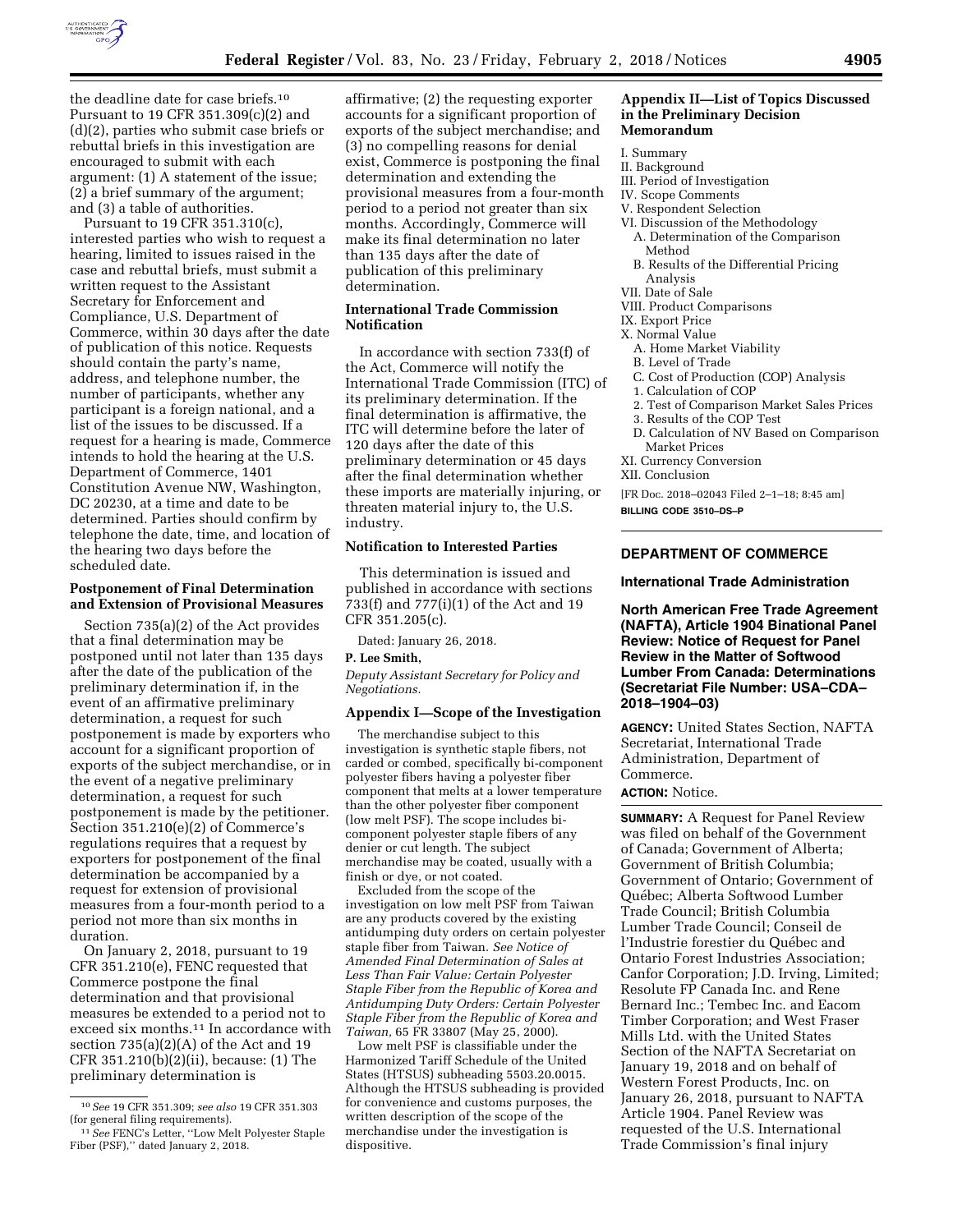

the deadline date for case briefs.10 Pursuant to 19 CFR 351.309(c)(2) and (d)(2), parties who submit case briefs or rebuttal briefs in this investigation are encouraged to submit with each argument: (1) A statement of the issue; (2) a brief summary of the argument; and (3) a table of authorities.

Pursuant to 19 CFR 351.310(c), interested parties who wish to request a hearing, limited to issues raised in the case and rebuttal briefs, must submit a written request to the Assistant Secretary for Enforcement and Compliance, U.S. Department of Commerce, within 30 days after the date of publication of this notice. Requests should contain the party's name, address, and telephone number, the number of participants, whether any participant is a foreign national, and a list of the issues to be discussed. If a request for a hearing is made, Commerce intends to hold the hearing at the U.S. Department of Commerce, 1401 Constitution Avenue NW, Washington, DC 20230, at a time and date to be determined. Parties should confirm by telephone the date, time, and location of the hearing two days before the scheduled date.

### **Postponement of Final Determination and Extension of Provisional Measures**

Section 735(a)(2) of the Act provides that a final determination may be postponed until not later than 135 days after the date of the publication of the preliminary determination if, in the event of an affirmative preliminary determination, a request for such postponement is made by exporters who account for a significant proportion of exports of the subject merchandise, or in the event of a negative preliminary determination, a request for such postponement is made by the petitioner. Section 351.210(e)(2) of Commerce's regulations requires that a request by exporters for postponement of the final determination be accompanied by a request for extension of provisional measures from a four-month period to a period not more than six months in duration.

On January 2, 2018, pursuant to 19 CFR 351.210(e), FENC requested that Commerce postpone the final determination and that provisional measures be extended to a period not to exceed six months.11 In accordance with section 735(a)(2)(A) of the Act and 19 CFR 351.210(b)(2)(ii), because: (1) The preliminary determination is

affirmative; (2) the requesting exporter accounts for a significant proportion of exports of the subject merchandise; and (3) no compelling reasons for denial exist, Commerce is postponing the final determination and extending the provisional measures from a four-month period to a period not greater than six months. Accordingly, Commerce will make its final determination no later than 135 days after the date of publication of this preliminary determination.

# **International Trade Commission Notification**

In accordance with section 733(f) of the Act, Commerce will notify the International Trade Commission (ITC) of its preliminary determination. If the final determination is affirmative, the ITC will determine before the later of 120 days after the date of this preliminary determination or 45 days after the final determination whether these imports are materially injuring, or threaten material injury to, the U.S. industry.

# **Notification to Interested Parties**

This determination is issued and published in accordance with sections 733(f) and 777(i)(1) of the Act and 19 CFR 351.205(c).

Dated: January 26, 2018.

### **P. Lee Smith,**

*Deputy Assistant Secretary for Policy and Negotiations.* 

# **Appendix I—Scope of the Investigation**

The merchandise subject to this investigation is synthetic staple fibers, not carded or combed, specifically bi-component polyester fibers having a polyester fiber component that melts at a lower temperature than the other polyester fiber component (low melt PSF). The scope includes bicomponent polyester staple fibers of any denier or cut length. The subject merchandise may be coated, usually with a finish or dye, or not coated.

Excluded from the scope of the investigation on low melt PSF from Taiwan are any products covered by the existing antidumping duty orders on certain polyester staple fiber from Taiwan. *See Notice of Amended Final Determination of Sales at Less Than Fair Value: Certain Polyester Staple Fiber from the Republic of Korea and Antidumping Duty Orders: Certain Polyester Staple Fiber from the Republic of Korea and Taiwan,* 65 FR 33807 (May 25, 2000).

Low melt PSF is classifiable under the Harmonized Tariff Schedule of the United States (HTSUS) subheading 5503.20.0015. Although the HTSUS subheading is provided for convenience and customs purposes, the written description of the scope of the merchandise under the investigation is dispositive.

### **Appendix II—List of Topics Discussed in the Preliminary Decision Memorandum**

#### I. Summary

- II. Background
- III. Period of Investigation
- IV. Scope Comments
- V. Respondent Selection
- VI. Discussion of the Methodology A. Determination of the Comparison Method
- B. Results of the Differential Pricing Analysis
- VII. Date of Sale
- VIII. Product Comparisons
- IX. Export Price
- X. Normal Value
- A. Home Market Viability
- B. Level of Trade
- C. Cost of Production (COP) Analysis
- 1. Calculation of COP
- 2. Test of Comparison Market Sales Prices
- 3. Results of the COP Test
- D. Calculation of NV Based on Comparison Market Prices
- XI. Currency Conversion
- XII. Conclusion

[FR Doc. 2018–02043 Filed 2–1–18; 8:45 am]

**BILLING CODE 3510–DS–P** 

# **DEPARTMENT OF COMMERCE**

### **International Trade Administration**

**North American Free Trade Agreement (NAFTA), Article 1904 Binational Panel Review: Notice of Request for Panel Review in the Matter of Softwood Lumber From Canada: Determinations (Secretariat File Number: USA–CDA– 2018–1904–03)** 

**AGENCY:** United States Section, NAFTA Secretariat, International Trade Administration, Department of Commerce.

#### **ACTION:** Notice.

**SUMMARY:** A Request for Panel Review was filed on behalf of the Government of Canada; Government of Alberta; Government of British Columbia; Government of Ontario; Government of Québec; Alberta Softwood Lumber Trade Council; British Columbia Lumber Trade Council; Conseil de l'Industrie forestier du Québec and Ontario Forest Industries Association; Canfor Corporation; J.D. Irving, Limited; Resolute FP Canada Inc. and Rene Bernard Inc.; Tembec Inc. and Eacom Timber Corporation; and West Fraser Mills Ltd. with the United States Section of the NAFTA Secretariat on January 19, 2018 and on behalf of Western Forest Products, Inc. on January 26, 2018, pursuant to NAFTA Article 1904. Panel Review was requested of the U.S. International Trade Commission's final injury

<sup>10</sup>*See* 19 CFR 351.309; *see also* 19 CFR 351.303 (for general filing requirements).

<sup>11</sup>*See* FENC's Letter, ''Low Melt Polyester Staple Fiber (PSF),'' dated January 2, 2018.